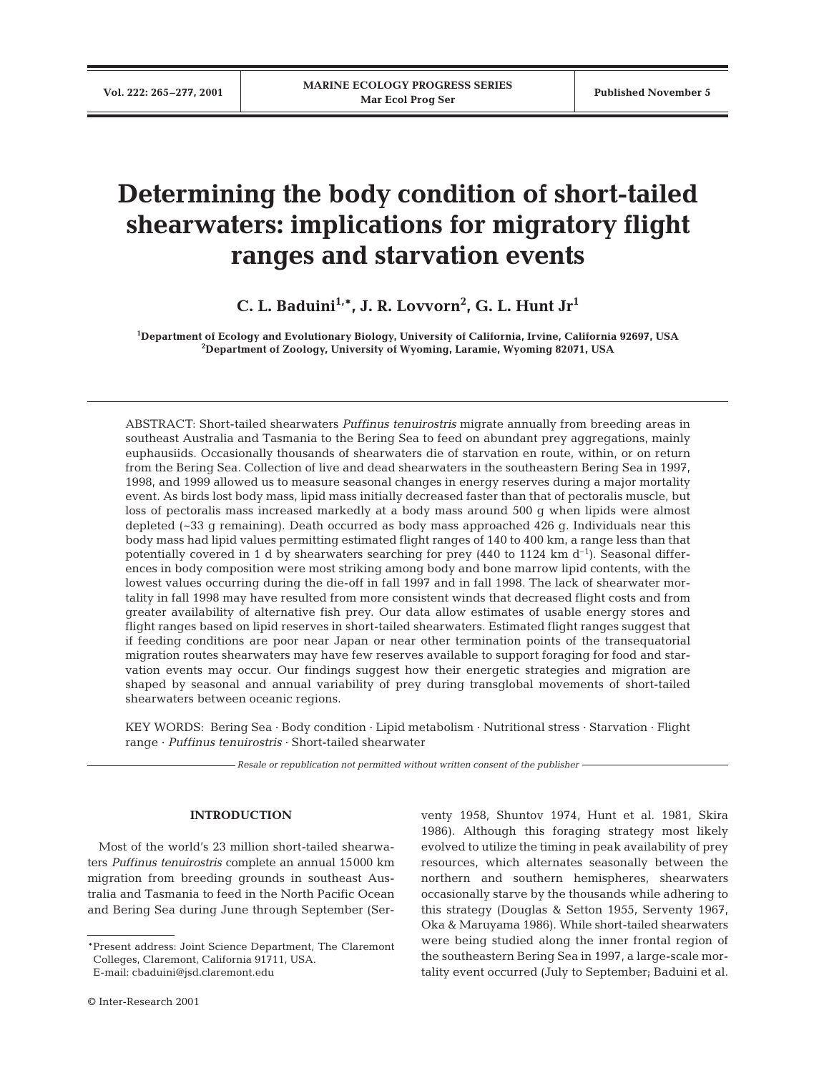# **Determining the body condition of short-tailed shearwaters: implications for migratory flight ranges and starvation events**

**C. L. Baduini1,\*, J. R. Lovvorn2 , G. L. Hunt Jr1**

**1 Department of Ecology and Evolutionary Biology, University of California, Irvine, California 92697, USA 2 Department of Zoology, University of Wyoming, Laramie, Wyoming 82071, USA**

ABSTRACT: Short-tailed shearwaters *Puffinus tenuirostris* migrate annually from breeding areas in southeast Australia and Tasmania to the Bering Sea to feed on abundant prey aggregations, mainly euphausiids. Occasionally thousands of shearwaters die of starvation en route, within, or on return from the Bering Sea. Collection of live and dead shearwaters in the southeastern Bering Sea in 1997, 1998, and 1999 allowed us to measure seasonal changes in energy reserves during a major mortality event. As birds lost body mass, lipid mass initially decreased faster than that of pectoralis muscle, but loss of pectoralis mass increased markedly at a body mass around 500 g when lipids were almost depleted (~33 g remaining). Death occurred as body mass approached 426 g. Individuals near this body mass had lipid values permitting estimated flight ranges of 140 to 400 km, a range less than that potentially covered in 1 d by shearwaters searching for prey  $(440 \text{ to } 1124 \text{ km d}^{-1})$ . Seasonal differences in body composition were most striking among body and bone marrow lipid contents, with the lowest values occurring during the die-off in fall 1997 and in fall 1998. The lack of shearwater mortality in fall 1998 may have resulted from more consistent winds that decreased flight costs and from greater availability of alternative fish prey. Our data allow estimates of usable energy stores and flight ranges based on lipid reserves in short-tailed shearwaters. Estimated flight ranges suggest that if feeding conditions are poor near Japan or near other termination points of the transequatorial migration routes shearwaters may have few reserves available to support foraging for food and starvation events may occur. Our findings suggest how their energetic strategies and migration are shaped by seasonal and annual variability of prey during transglobal movements of short-tailed shearwaters between oceanic regions.

KEY WORDS: Bering Sea · Body condition · Lipid metabolism · Nutritional stress · Starvation · Flight range · *Puffinus tenuirostris* · Short-tailed shearwater

*Resale or republication not permitted without written consent of the publisher*

## **INTRODUCTION**

Most of the world's 23 million short-tailed shearwaters *Puffinus tenuirostris* complete an annual 15000 km migration from breeding grounds in southeast Australia and Tasmania to feed in the North Pacific Ocean and Bering Sea during June through September (Serventy 1958, Shuntov 1974, Hunt et al. 1981, Skira 1986). Although this foraging strategy most likely evolved to utilize the timing in peak availability of prey resources, which alternates seasonally between the northern and southern hemispheres, shearwaters occasionally starve by the thousands while adhering to this strategy (Douglas & Setton 1955, Serventy 1967, Oka & Maruyama 1986). While short-tailed shearwaters were being studied along the inner frontal region of the southeastern Bering Sea in 1997, a large-scale mortality event occurred (July to September; Baduini et al.

<sup>\*</sup>Present address: Joint Science Department, The Claremont Colleges, Claremont, California 91711, USA.

E-mail: cbaduini@jsd.claremont.edu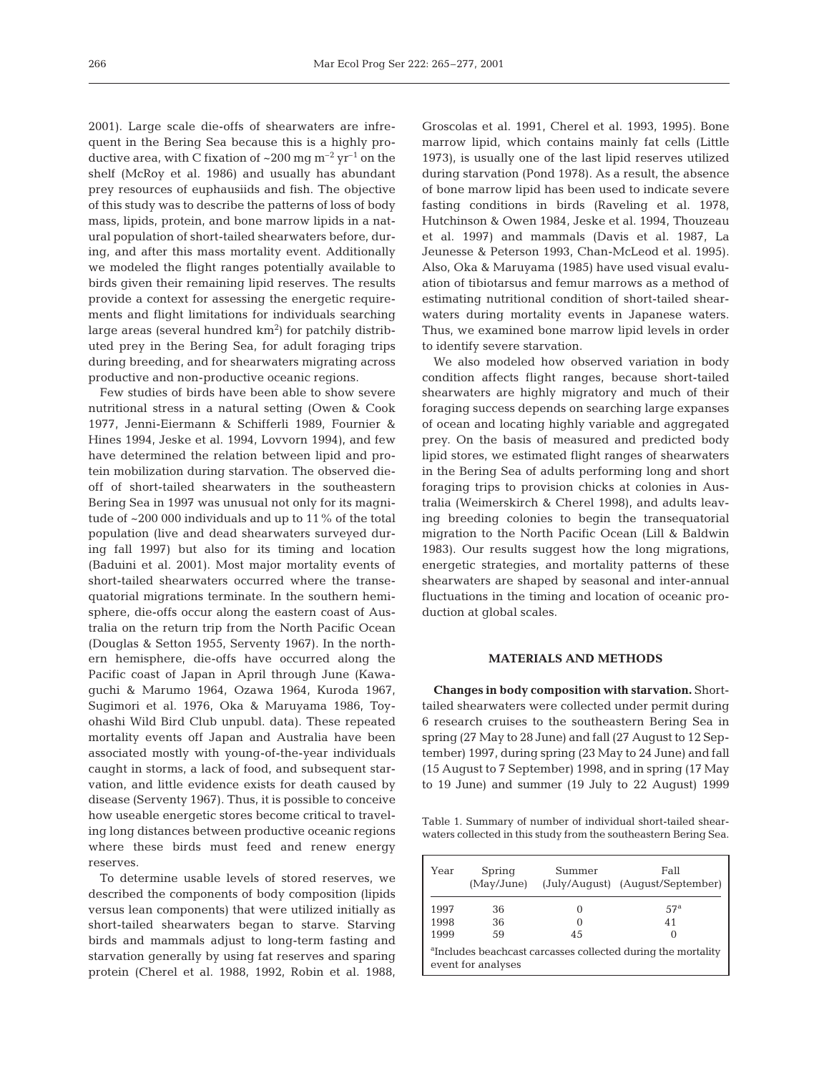2001). Large scale die-offs of shearwaters are infrequent in the Bering Sea because this is a highly productive area, with C fixation of  $\sim 200$  mg m<sup>-2</sup> yr<sup>-1</sup> on the shelf (McRoy et al. 1986) and usually has abundant prey resources of euphausiids and fish. The objective of this study was to describe the patterns of loss of body mass, lipids, protein, and bone marrow lipids in a natural population of short-tailed shearwaters before, during, and after this mass mortality event. Additionally we modeled the flight ranges potentially available to birds given their remaining lipid reserves. The results provide a context for assessing the energetic requirements and flight limitations for individuals searching large areas (several hundred  $\rm km^2)$  for patchily distributed prey in the Bering Sea, for adult foraging trips during breeding, and for shearwaters migrating across productive and non-productive oceanic regions.

Few studies of birds have been able to show severe nutritional stress in a natural setting (Owen & Cook 1977, Jenni-Eiermann & Schifferli 1989, Fournier & Hines 1994, Jeske et al. 1994, Lovvorn 1994), and few have determined the relation between lipid and protein mobilization during starvation. The observed dieoff of short-tailed shearwaters in the southeastern Bering Sea in 1997 was unusual not only for its magnitude of ~200 000 individuals and up to 11% of the total population (live and dead shearwaters surveyed during fall 1997) but also for its timing and location (Baduini et al. 2001). Most major mortality events of short-tailed shearwaters occurred where the transequatorial migrations terminate. In the southern hemisphere, die-offs occur along the eastern coast of Australia on the return trip from the North Pacific Ocean (Douglas & Setton 1955, Serventy 1967). In the northern hemisphere, die-offs have occurred along the Pacific coast of Japan in April through June (Kawaguchi & Marumo 1964, Ozawa 1964, Kuroda 1967, Sugimori et al. 1976, Oka & Maruyama 1986, Toyohashi Wild Bird Club unpubl. data). These repeated mortality events off Japan and Australia have been associated mostly with young-of-the-year individuals caught in storms, a lack of food, and subsequent starvation, and little evidence exists for death caused by disease (Serventy 1967). Thus, it is possible to conceive how useable energetic stores become critical to traveling long distances between productive oceanic regions where these birds must feed and renew energy reserves.

To determine usable levels of stored reserves, we described the components of body composition (lipids versus lean components) that were utilized initially as short-tailed shearwaters began to starve. Starving birds and mammals adjust to long-term fasting and starvation generally by using fat reserves and sparing protein (Cherel et al. 1988, 1992, Robin et al. 1988, Groscolas et al. 1991, Cherel et al. 1993, 1995). Bone marrow lipid, which contains mainly fat cells (Little 1973), is usually one of the last lipid reserves utilized during starvation (Pond 1978). As a result, the absence of bone marrow lipid has been used to indicate severe fasting conditions in birds (Raveling et al. 1978, Hutchinson & Owen 1984, Jeske et al. 1994, Thouzeau et al. 1997) and mammals (Davis et al. 1987, La Jeunesse & Peterson 1993, Chan-McLeod et al. 1995). Also, Oka & Maruyama (1985) have used visual evaluation of tibiotarsus and femur marrows as a method of estimating nutritional condition of short-tailed shearwaters during mortality events in Japanese waters. Thus, we examined bone marrow lipid levels in order to identify severe starvation.

We also modeled how observed variation in body condition affects flight ranges, because short-tailed shearwaters are highly migratory and much of their foraging success depends on searching large expanses of ocean and locating highly variable and aggregated prey. On the basis of measured and predicted body lipid stores, we estimated flight ranges of shearwaters in the Bering Sea of adults performing long and short foraging trips to provision chicks at colonies in Australia (Weimerskirch & Cherel 1998), and adults leaving breeding colonies to begin the transequatorial migration to the North Pacific Ocean (Lill & Baldwin 1983). Our results suggest how the long migrations, energetic strategies, and mortality patterns of these shearwaters are shaped by seasonal and inter-annual fluctuations in the timing and location of oceanic production at global scales.

### **MATERIALS AND METHODS**

**Changes in body composition with starvation.** Shorttailed shearwaters were collected under permit during 6 research cruises to the southeastern Bering Sea in spring (27 May to 28 June) and fall (27 August to 12 September) 1997, during spring (23 May to 24 June) and fall (15 August to 7 September) 1998, and in spring (17 May to 19 June) and summer (19 July to 22 August) 1999

Table 1. Summary of number of individual short-tailed shearwaters collected in this study from the southeastern Bering Sea.

| Year | Spring<br>(May/June) | Summer        | Fall<br>(July/August) (August/September)                                 |
|------|----------------------|---------------|--------------------------------------------------------------------------|
| 1997 | 36                   |               | .57 <sup>a</sup>                                                         |
| 1998 | 36                   | $\mathcal{L}$ | 41                                                                       |
| 1999 | 59                   | 45            |                                                                          |
|      | event for analyses   |               | <sup>a</sup> Includes beachcast carcasses collected during the mortality |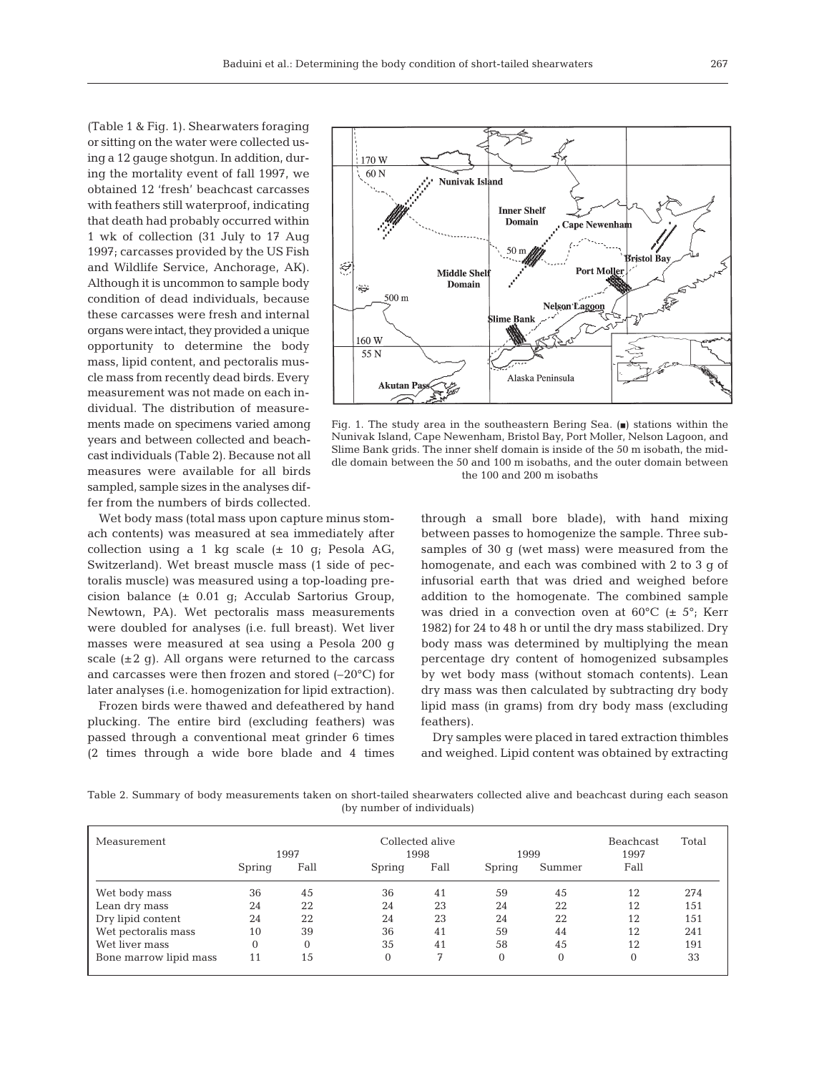(Table 1 & Fig. 1). Shearwaters foraging or sitting on the water were collected using a 12 gauge shotgun. In addition, during the mortality event of fall 1997, we obtained 12 'fresh' beachcast carcasses with feathers still waterproof, indicating that death had probably occurred within 1 wk of collection (31 July to 17 Aug 1997; carcasses provided by the US Fish and Wildlife Service, Anchorage, AK). Although it is uncommon to sample body condition of dead individuals, because these carcasses were fresh and internal organs were intact, they provided a unique opportunity to determine the body mass, lipid content, and pectoralis muscle mass from recently dead birds. Every measurement was not made on each individual. The distribution of measurements made on specimens varied among years and between collected and beachcast individuals (Table 2). Because not all measures were available for all birds sampled, sample sizes in the analyses differ from the numbers of birds collected.

Wet body mass (total mass upon capture minus stomach contents) was measured at sea immediately after collection using a 1 kg scale  $(\pm 10 \text{ g})$ ; Pesola AG, Switzerland). Wet breast muscle mass (1 side of pectoralis muscle) was measured using a top-loading precision balance (± 0.01 g; Acculab Sartorius Group, Newtown, PA). Wet pectoralis mass measurements were doubled for analyses (i.e. full breast). Wet liver masses were measured at sea using a Pesola 200 g scale  $(\pm 2 \text{ q})$ . All organs were returned to the carcass and carcasses were then frozen and stored (–20°C) for later analyses (i.e. homogenization for lipid extraction).

Frozen birds were thawed and defeathered by hand plucking. The entire bird (excluding feathers) was passed through a conventional meat grinder 6 times (2 times through a wide bore blade and 4 times



Fig. 1. The study area in the southeastern Bering Sea.  $(\blacksquare)$  stations within the Nunivak Island, Cape Newenham, Bristol Bay, Port Moller, Nelson Lagoon, and Slime Bank grids. The inner shelf domain is inside of the 50 m isobath, the middle domain between the 50 and 100 m isobaths, and the outer domain between the 100 and 200 m isobaths

through a small bore blade), with hand mixing between passes to homogenize the sample. Three subsamples of 30 g (wet mass) were measured from the homogenate, and each was combined with 2 to 3 g of infusorial earth that was dried and weighed before addition to the homogenate. The combined sample was dried in a convection oven at  $60^{\circ}$ C ( $\pm$  5°; Kerr 1982) for 24 to 48 h or until the dry mass stabilized. Dry body mass was determined by multiplying the mean percentage dry content of homogenized subsamples by wet body mass (without stomach contents). Lean dry mass was then calculated by subtracting dry body lipid mass (in grams) from dry body mass (excluding feathers).

Dry samples were placed in tared extraction thimbles and weighed. Lipid content was obtained by extracting

Table 2. Summary of body measurements taken on short-tailed shearwaters collected alive and beachcast during each season (by number of individuals)

| Measurement            |        | 1997     | Collected alive | 1998 | 1999           |          | Beachcast<br>1997 | Total |
|------------------------|--------|----------|-----------------|------|----------------|----------|-------------------|-------|
|                        | Spring | Fall     | Spring          | Fall | Spring         | Summer   | Fall              |       |
| Wet body mass          | 36     | 45       | 36              | 41   | 59             | 45       | 12                | 274   |
| Lean dry mass          | 24     | 22       | 24              | 23   | 24             | 22       | 12                | 151   |
| Dry lipid content      | 24     | 22       | 24              | 23   | 24             | 22       | 12                | 151   |
| Wet pectoralis mass    | 10     | 39       | 36              | 41   | 59             | 44       | 12                | 241   |
| Wet liver mass         |        | $\theta$ | 35              | 41   | 58             | 45       | 12                | 191   |
| Bone marrow lipid mass | 11     | 15       | $\theta$        | 7    | $\overline{0}$ | $\Omega$ | $\Omega$          | 33    |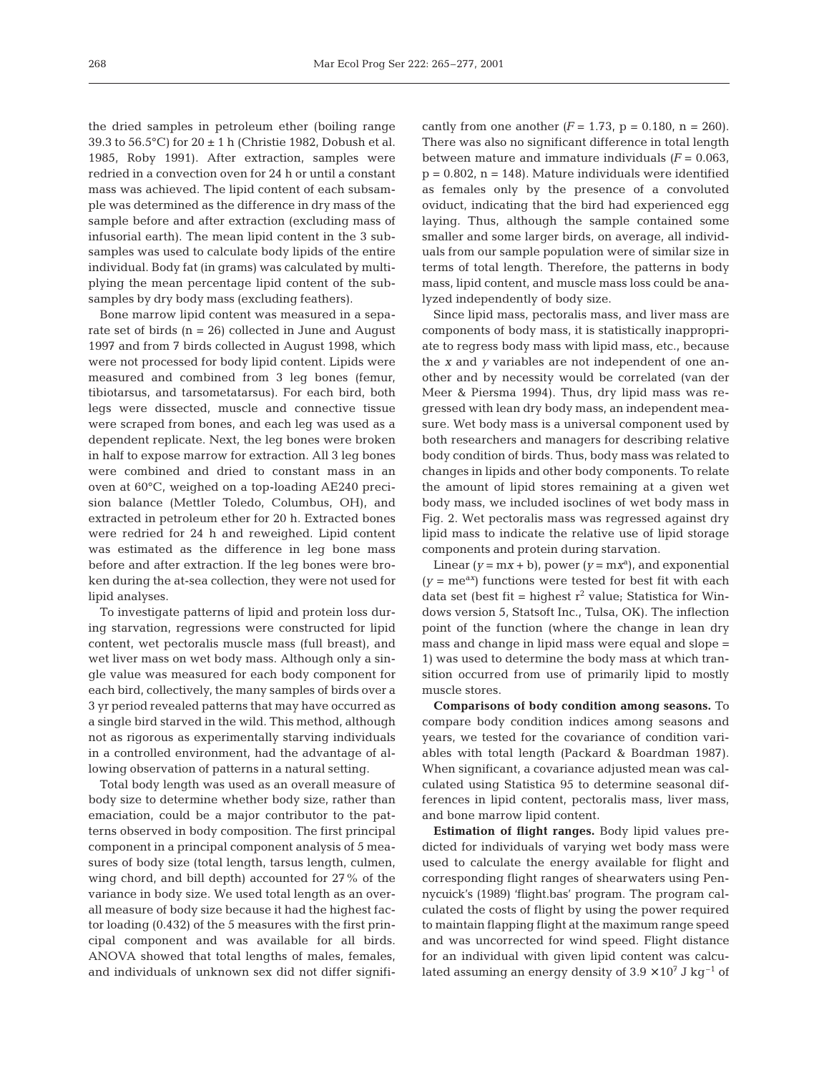the dried samples in petroleum ether (boiling range 39.3 to 56.5°C) for  $20 \pm 1$  h (Christie 1982, Dobush et al. 1985, Roby 1991). After extraction, samples were redried in a convection oven for 24 h or until a constant mass was achieved. The lipid content of each subsample was determined as the difference in dry mass of the sample before and after extraction (excluding mass of infusorial earth). The mean lipid content in the 3 subsamples was used to calculate body lipids of the entire individual. Body fat (in grams) was calculated by multiplying the mean percentage lipid content of the subsamples by dry body mass (excluding feathers).

Bone marrow lipid content was measured in a separate set of birds  $(n = 26)$  collected in June and August 1997 and from 7 birds collected in August 1998, which were not processed for body lipid content. Lipids were measured and combined from 3 leg bones (femur, tibiotarsus, and tarsometatarsus). For each bird, both legs were dissected, muscle and connective tissue were scraped from bones, and each leg was used as a dependent replicate. Next, the leg bones were broken in half to expose marrow for extraction. All 3 leg bones were combined and dried to constant mass in an oven at 60°C, weighed on a top-loading AE240 precision balance (Mettler Toledo, Columbus, OH), and extracted in petroleum ether for 20 h. Extracted bones were redried for 24 h and reweighed. Lipid content was estimated as the difference in leg bone mass before and after extraction. If the leg bones were broken during the at-sea collection, they were not used for lipid analyses.

To investigate patterns of lipid and protein loss during starvation, regressions were constructed for lipid content, wet pectoralis muscle mass (full breast), and wet liver mass on wet body mass. Although only a single value was measured for each body component for each bird, collectively, the many samples of birds over a 3 yr period revealed patterns that may have occurred as a single bird starved in the wild. This method, although not as rigorous as experimentally starving individuals in a controlled environment, had the advantage of allowing observation of patterns in a natural setting.

Total body length was used as an overall measure of body size to determine whether body size, rather than emaciation, could be a major contributor to the patterns observed in body composition. The first principal component in a principal component analysis of 5 measures of body size (total length, tarsus length, culmen, wing chord, and bill depth) accounted for 27% of the variance in body size. We used total length as an overall measure of body size because it had the highest factor loading (0.432) of the 5 measures with the first principal component and was available for all birds. ANOVA showed that total lengths of males, females, and individuals of unknown sex did not differ signifi-

cantly from one another  $(F = 1.73, p = 0.180, n = 260)$ . There was also no significant difference in total length between mature and immature individuals  $(F = 0.063)$ .  $p = 0.802$ ,  $n = 148$ ). Mature individuals were identified as females only by the presence of a convoluted oviduct, indicating that the bird had experienced egg laying. Thus, although the sample contained some smaller and some larger birds, on average, all individuals from our sample population were of similar size in terms of total length. Therefore, the patterns in body mass, lipid content, and muscle mass loss could be analyzed independently of body size.

Since lipid mass, pectoralis mass, and liver mass are components of body mass, it is statistically inappropriate to regress body mass with lipid mass, etc., because the *x* and *y* variables are not independent of one another and by necessity would be correlated (van der Meer & Piersma 1994). Thus, dry lipid mass was regressed with lean dry body mass, an independent measure. Wet body mass is a universal component used by both researchers and managers for describing relative body condition of birds. Thus, body mass was related to changes in lipids and other body components. To relate the amount of lipid stores remaining at a given wet body mass, we included isoclines of wet body mass in Fig. 2. Wet pectoralis mass was regressed against dry lipid mass to indicate the relative use of lipid storage components and protein during starvation.

Linear  $(y = mx + b)$ , power  $(y = mx^a)$ , and exponential  $(y = me^{ax})$  functions were tested for best fit with each data set (best fit = highest  $r^2$  value; Statistica for Windows version 5, Statsoft Inc., Tulsa, OK). The inflection point of the function (where the change in lean dry mass and change in lipid mass were equal and slope = 1) was used to determine the body mass at which transition occurred from use of primarily lipid to mostly muscle stores.

**Comparisons of body condition among seasons.** To compare body condition indices among seasons and years, we tested for the covariance of condition variables with total length (Packard & Boardman 1987). When significant, a covariance adjusted mean was calculated using Statistica 95 to determine seasonal differences in lipid content, pectoralis mass, liver mass, and bone marrow lipid content.

**Estimation of flight ranges.** Body lipid values predicted for individuals of varying wet body mass were used to calculate the energy available for flight and corresponding flight ranges of shearwaters using Pennycuick's (1989) 'flight.bas' program. The program calculated the costs of flight by using the power required to maintain flapping flight at the maximum range speed and was uncorrected for wind speed. Flight distance for an individual with given lipid content was calculated assuming an energy density of  $3.9 \times 10^7$  J kg<sup>-1</sup> of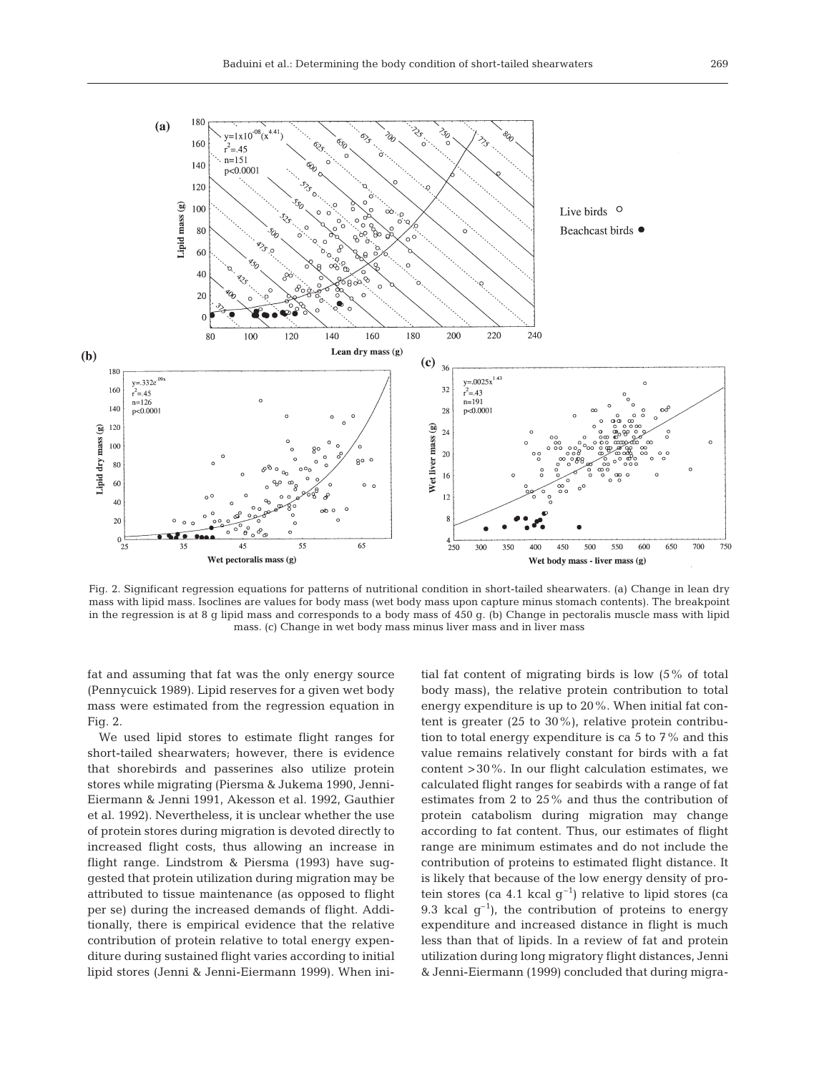

Fig. 2. Significant regression equations for patterns of nutritional condition in short-tailed shearwaters. (a) Change in lean dry mass with lipid mass. Isoclines are values for body mass (wet body mass upon capture minus stomach contents). The breakpoint in the regression is at 8 g lipid mass and corresponds to a body mass of 450 g. (b) Change in pectoralis muscle mass with lipid mass. (c) Change in wet body mass minus liver mass and in liver mass

fat and assuming that fat was the only energy source (Pennycuick 1989). Lipid reserves for a given wet body mass were estimated from the regression equation in Fig. 2.

We used lipid stores to estimate flight ranges for short-tailed shearwaters; however, there is evidence that shorebirds and passerines also utilize protein stores while migrating (Piersma & Jukema 1990, Jenni-Eiermann & Jenni 1991, Akesson et al. 1992, Gauthier et al. 1992). Nevertheless, it is unclear whether the use of protein stores during migration is devoted directly to increased flight costs, thus allowing an increase in flight range. Lindstrom & Piersma (1993) have suggested that protein utilization during migration may be attributed to tissue maintenance (as opposed to flight per se) during the increased demands of flight. Additionally, there is empirical evidence that the relative contribution of protein relative to total energy expenditure during sustained flight varies according to initial lipid stores (Jenni & Jenni-Eiermann 1999). When ini-

tial fat content of migrating birds is low (5% of total body mass), the relative protein contribution to total energy expenditure is up to 20%. When initial fat content is greater (25 to 30%), relative protein contribution to total energy expenditure is ca 5 to 7% and this value remains relatively constant for birds with a fat content >30%. In our flight calculation estimates, we calculated flight ranges for seabirds with a range of fat estimates from 2 to 25% and thus the contribution of protein catabolism during migration may change according to fat content. Thus, our estimates of flight range are minimum estimates and do not include the contribution of proteins to estimated flight distance. It is likely that because of the low energy density of protein stores (ca 4.1 kcal  $g^{-1}$ ) relative to lipid stores (ca 9.3 kcal  $g^{-1}$ ), the contribution of proteins to energy expenditure and increased distance in flight is much less than that of lipids. In a review of fat and protein utilization during long migratory flight distances, Jenni & Jenni-Eiermann (1999) concluded that during migra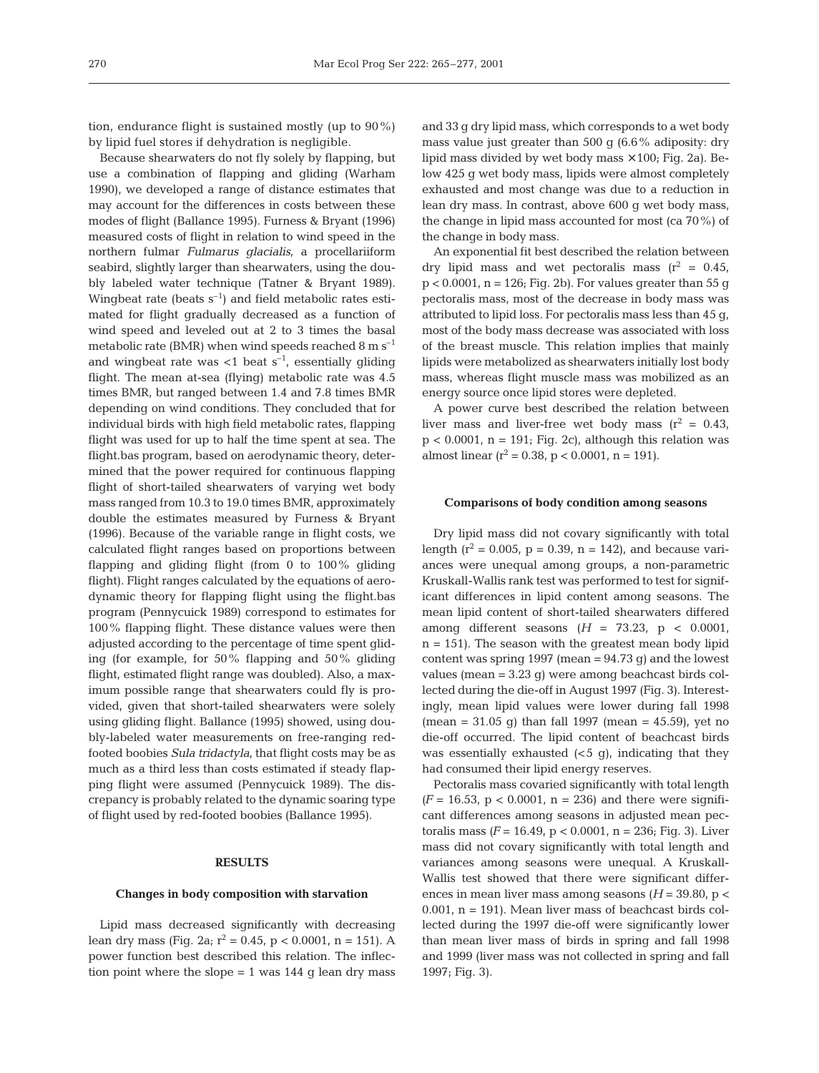tion, endurance flight is sustained mostly (up to 90%) by lipid fuel stores if dehydration is negligible.

Because shearwaters do not fly solely by flapping, but use a combination of flapping and gliding (Warham 1990), we developed a range of distance estimates that may account for the differences in costs between these modes of flight (Ballance 1995). Furness & Bryant (1996) measured costs of flight in relation to wind speed in the northern fulmar *Fulmarus glacialis*, a procellariiform seabird, slightly larger than shearwaters, using the doubly labeled water technique (Tatner & Bryant 1989). Wingbeat rate (beats  $s^{-1}$ ) and field metabolic rates estimated for flight gradually decreased as a function of wind speed and leveled out at 2 to 3 times the basal metabolic rate (BMR) when wind speeds reached  $8 \text{ m s}^{-1}$ and wingbeat rate was  $<$ 1 beat s<sup>-1</sup>, essentially gliding flight. The mean at-sea (flying) metabolic rate was 4.5 times BMR, but ranged between 1.4 and 7.8 times BMR depending on wind conditions. They concluded that for individual birds with high field metabolic rates, flapping flight was used for up to half the time spent at sea. The flight.bas program, based on aerodynamic theory, determined that the power required for continuous flapping flight of short-tailed shearwaters of varying wet body mass ranged from 10.3 to 19.0 times BMR, approximately double the estimates measured by Furness & Bryant (1996). Because of the variable range in flight costs, we calculated flight ranges based on proportions between flapping and gliding flight (from 0 to 100% gliding flight). Flight ranges calculated by the equations of aerodynamic theory for flapping flight using the flight.bas program (Pennycuick 1989) correspond to estimates for 100% flapping flight. These distance values were then adjusted according to the percentage of time spent gliding (for example, for 50% flapping and 50% gliding flight, estimated flight range was doubled). Also, a maximum possible range that shearwaters could fly is provided, given that short-tailed shearwaters were solely using gliding flight. Ballance (1995) showed, using doubly-labeled water measurements on free-ranging redfooted boobies *Sula tridactyla*, that flight costs may be as much as a third less than costs estimated if steady flapping flight were assumed (Pennycuick 1989). The discrepancy is probably related to the dynamic soaring type of flight used by red-footed boobies (Ballance 1995).

## **RESULTS**

#### **Changes in body composition with starvation**

Lipid mass decreased significantly with decreasing lean dry mass (Fig. 2a;  $r^2 = 0.45$ ,  $p < 0.0001$ ,  $n = 151$ ). A power function best described this relation. The inflection point where the slope  $= 1$  was 144 g lean dry mass and 33 g dry lipid mass, which corresponds to a wet body mass value just greater than 500 g (6.6% adiposity: dry lipid mass divided by wet body mass  $\times$  100; Fig. 2a). Below 425 g wet body mass, lipids were almost completely exhausted and most change was due to a reduction in lean dry mass. In contrast, above 600 g wet body mass, the change in lipid mass accounted for most (ca 70%) of the change in body mass.

An exponential fit best described the relation between dry lipid mass and wet pectoralis mass  $(r^2 = 0.45)$ ,  $p < 0.0001$ ,  $n = 126$ ; Fig. 2b). For values greater than 55 g pectoralis mass, most of the decrease in body mass was attributed to lipid loss. For pectoralis mass less than 45 g, most of the body mass decrease was associated with loss of the breast muscle. This relation implies that mainly lipids were metabolized as shearwaters initially lost body mass, whereas flight muscle mass was mobilized as an energy source once lipid stores were depleted.

A power curve best described the relation between liver mass and liver-free wet body mass  $(r^2 = 0.43,$  $p < 0.0001$ ,  $n = 191$ ; Fig. 2c), although this relation was almost linear  $(r^2 = 0.38, p < 0.0001, n = 191)$ .

#### **Comparisons of body condition among seasons**

Dry lipid mass did not covary significantly with total length ( $r^2$  = 0.005, p = 0.39, n = 142), and because variances were unequal among groups, a non-parametric Kruskall-Wallis rank test was performed to test for significant differences in lipid content among seasons. The mean lipid content of short-tailed shearwaters differed among different seasons  $(H = 73.23, p < 0.0001,$  $n = 151$ ). The season with the greatest mean body lipid content was spring 1997 (mean  $= 94.73$  g) and the lowest values (mean = 3.23 g) were among beachcast birds collected during the die-off in August 1997 (Fig. 3). Interestingly, mean lipid values were lower during fall 1998  $(mean = 31.05 \text{ q})$  than fall 1997 (mean = 45.59), yet no die-off occurred. The lipid content of beachcast birds was essentially exhausted  $( $5 \, q$ )$ , indicating that they had consumed their lipid energy reserves.

Pectoralis mass covaried significantly with total length  $(F = 16.53, p < 0.0001, n = 236)$  and there were significant differences among seasons in adjusted mean pectoralis mass  $(F = 16.49, p < 0.0001, n = 236$ ; Fig. 3). Liver mass did not covary significantly with total length and variances among seasons were unequal. A Kruskall-Wallis test showed that there were significant differences in mean liver mass among seasons  $(H = 39.80, p <$ 0.001,  $n = 191$ ). Mean liver mass of beachcast birds collected during the 1997 die-off were significantly lower than mean liver mass of birds in spring and fall 1998 and 1999 (liver mass was not collected in spring and fall 1997; Fig. 3).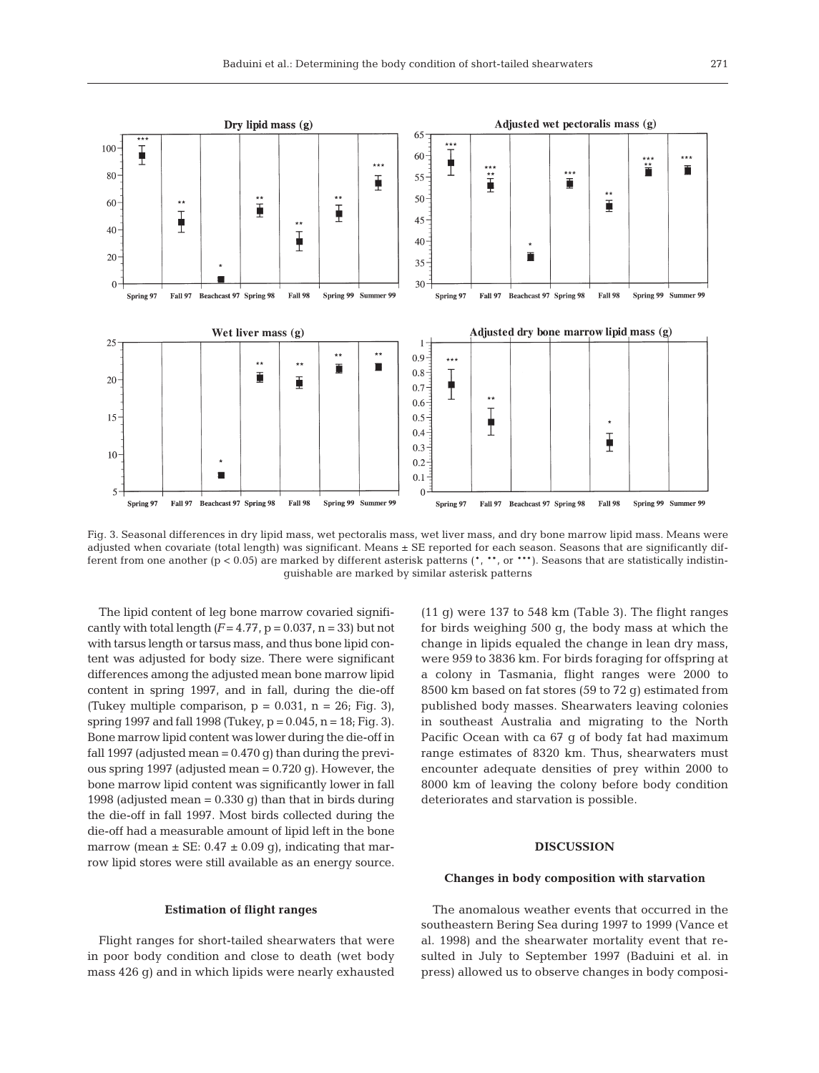

Fig. 3. Seasonal differences in dry lipid mass, wet pectoralis mass, wet liver mass, and dry bone marrow lipid mass. Means were adjusted when covariate (total length) was significant. Means ± SE reported for each season. Seasons that are significantly different from one another ( $p < 0.05$ ) are marked by different asterisk patterns (\*, \*\*, or \*\*\*). Seasons that are statistically indistinguishable are marked by similar asterisk patterns

The lipid content of leg bone marrow covaried significantly with total length  $(F = 4.77, p = 0.037, n = 33)$  but not with tarsus length or tarsus mass, and thus bone lipid content was adjusted for body size. There were significant differences among the adjusted mean bone marrow lipid content in spring 1997, and in fall, during the die-off (Tukey multiple comparison,  $p = 0.031$ ,  $n = 26$ ; Fig. 3), spring 1997 and fall 1998 (Tukey,  $p = 0.045$ ,  $n = 18$ ; Fig. 3). Bone marrow lipid content was lower during the die-off in fall 1997 (adjusted mean  $= 0.470$  g) than during the previous spring 1997 (adjusted mean = 0.720 g). However, the bone marrow lipid content was significantly lower in fall 1998 (adjusted mean  $= 0.330$  q) than that in birds during the die-off in fall 1997. Most birds collected during the die-off had a measurable amount of lipid left in the bone marrow (mean  $\pm$  SE: 0.47  $\pm$  0.09 g), indicating that marrow lipid stores were still available as an energy source.

(11 g) were 137 to 548 km (Table 3). The flight ranges for birds weighing 500 g, the body mass at which the change in lipids equaled the change in lean dry mass, were 959 to 3836 km. For birds foraging for offspring at a colony in Tasmania, flight ranges were 2000 to 8500 km based on fat stores (59 to 72 g) estimated from published body masses. Shearwaters leaving colonies in southeast Australia and migrating to the North Pacific Ocean with ca 67 g of body fat had maximum range estimates of 8320 km. Thus, shearwaters must encounter adequate densities of prey within 2000 to 8000 km of leaving the colony before body condition deteriorates and starvation is possible.

#### **DISCUSSION**

#### **Changes in body composition with starvation**

#### **Estimation of flight ranges**

Flight ranges for short-tailed shearwaters that were in poor body condition and close to death (wet body mass 426 g) and in which lipids were nearly exhausted

The anomalous weather events that occurred in the southeastern Bering Sea during 1997 to 1999 (Vance et al. 1998) and the shearwater mortality event that resulted in July to September 1997 (Baduini et al. in press) allowed us to observe changes in body composi-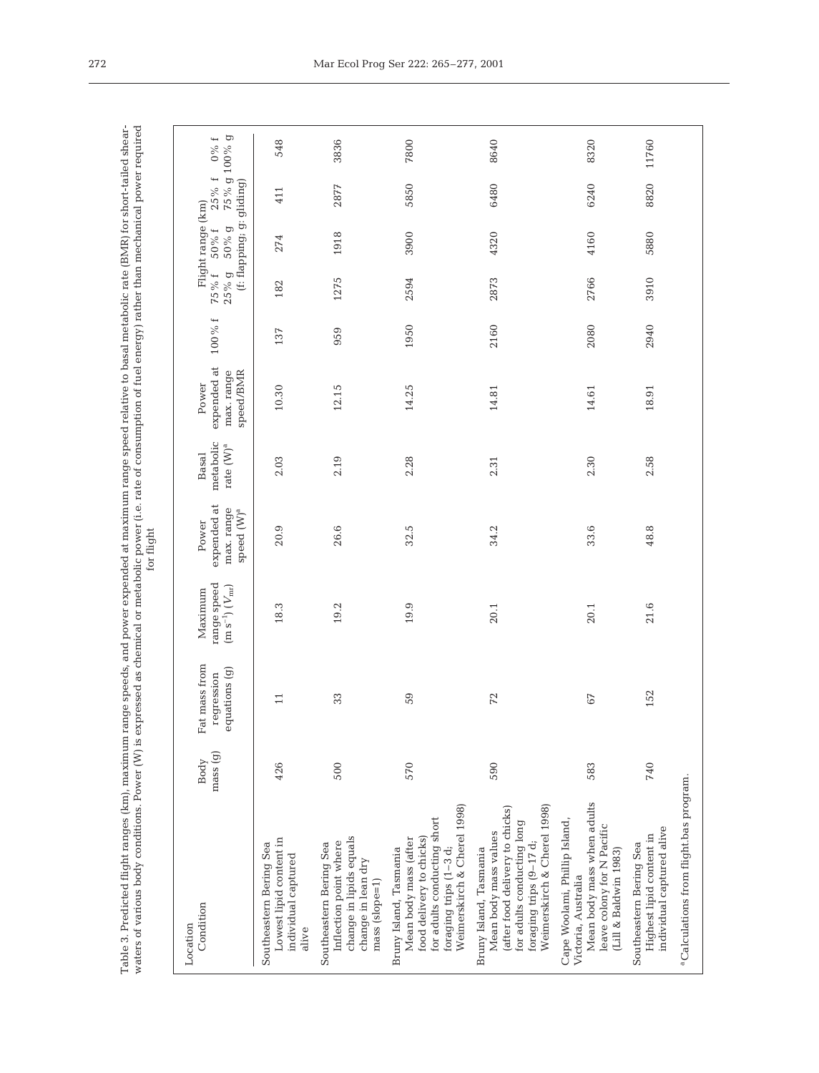| i<br>$2\text{MP}$ for c<br>od relative to basal metabolic rate<br>i<br>;<br>;<br>ARRIVED BURGE INTERNATIONAL PROPERTY<br>$\frac{1}{2}$<br>;<br>"Ye and noting e-<br>mong coon<br>י<br>ני ט<br>ţ<br>$\begin{array}{c} \n\hline\n\end{array}$<br>j<br>J<br>١<br>ł<br>֠<br>l<br>֖֖֖֖֖֖֖֖֧֖֧֚֚֚֚֚֚֚֚֚֚֚֚֚֚֚֚֚֚֚֚֚֚֚֚֚֚֚֚֬֝֓֞֝֓֬ | S)<br>くてっく<br>こくく<br>nemical or metabolic power (i.e. rate of consumption of fuel energy) rather than me<br>pressed as cr<br>¢<br>7<br><b>CASTER</b> | :<br>$\overline{\phantom{a}}$<br>֖ׅ֧ׅ֧ׅ֧֧֧֧֧֧֧֪ׅ֧֧֚֚֚֚֚֚֚֚֚֚֚֚֚֚֚֚֚֚֚֚֚֚֚֚֚֡֕֕֕֝֝֝֓֝֓֝֓֝֓֝֬֝֓֝֬ |
|-----------------------------------------------------------------------------------------------------------------------------------------------------------------------------------------------------------------------------------------------------------------------------------------------------------------------------|------------------------------------------------------------------------------------------------------------------------------------------------------|-------------------------------------------------------------------------------------------------|
| Í                                                                                                                                                                                                                                                                                                                           |                                                                                                                                                      |                                                                                                 |

| Condition<br>Location                                                                                                                                                      | mass (g)<br>Body | Fat mass from<br>equations (g)<br>regression | range speed<br>$(m s^{-1}) (V_{mr})$<br>Maximum | expended at<br>max. range<br>speed (W) <sup>a</sup><br>Power | metabolic<br>rate $(W)^a$<br>Basal | expended at<br>max. range<br>speed/BMR<br>Power | $100\,\%$ f |      | (f: flapping; g: gliding)<br>Flight range (km)<br>75% f 50% f<br>25% g 50% g | $25\%$ f 0% f<br>75% g 100% g |       |
|----------------------------------------------------------------------------------------------------------------------------------------------------------------------------|------------------|----------------------------------------------|-------------------------------------------------|--------------------------------------------------------------|------------------------------------|-------------------------------------------------|-------------|------|------------------------------------------------------------------------------|-------------------------------|-------|
| Lowest lipid content in<br>Southeastern Bering Sea<br>individual captured<br>alive                                                                                         | 426              | $\overline{\phantom{0}}$                     | 18.3                                            | 20.9                                                         | 2.03                               | 10.30                                           | 137         | 182  | 274                                                                          | 411                           | 548   |
| change in lipids equals<br>Inflection point where<br>Southeastern Bering Sea<br>change in lean dry<br>mass (slope=1)                                                       | 500              | 33                                           | 19.2                                            | 26.6                                                         | 2.19                               | 12.15                                           | 959         | 1275 | 1918                                                                         | 2877                          | 3836  |
| Weimerskirch & Cherel 1998)<br>for adults conducting short<br>food delivery to chicks)<br>Mean body mass (after<br>foraging trips (1-3 d;<br>Bruny Island, Tasmania        | 570              | 59                                           | 19.9                                            | 32.5                                                         | 2.28                               | 14.25                                           | 1950        | 2594 | 3900                                                                         | 5850                          | 7800  |
| Weimerskirch & Cherel 1998)<br>(after food delivery to chicks)<br>for adults conducting long<br>Mean body mass values<br>foraging trips (9-17 d;<br>Bruny Island, Tasmania | 590              | 72                                           | 20.1                                            | 34.2                                                         | 2.31                               | 14.81                                           | 2160        | 2873 | 4320                                                                         | 6480                          | 8640  |
| Mean body mass when adults<br>Cape Woolami, Phillip Island,<br>leave colony for N Pacific<br>(Lill & Baldwin 1983)<br>Victoria, Australia                                  | 583              | 67                                           | 20.1                                            | 33.6                                                         | 2.30                               | 14.61                                           | 2080        | 2766 | 4160                                                                         | 6240                          | 8320  |
| individual captured alive<br>Highest lipid content in<br>Southeastern Bering Sea                                                                                           | 740              | 52                                           | 21.6                                            | 48.8                                                         | 2.58                               | 18.91                                           | 2940        | 3910 | 5880                                                                         | 8820                          | 11760 |
| <sup>a</sup> Calculations from flight.bas program.                                                                                                                         |                  |                                              |                                                 |                                                              |                                    |                                                 |             |      |                                                                              |                               |       |
|                                                                                                                                                                            |                  |                                              |                                                 |                                                              |                                    |                                                 |             |      |                                                                              |                               |       |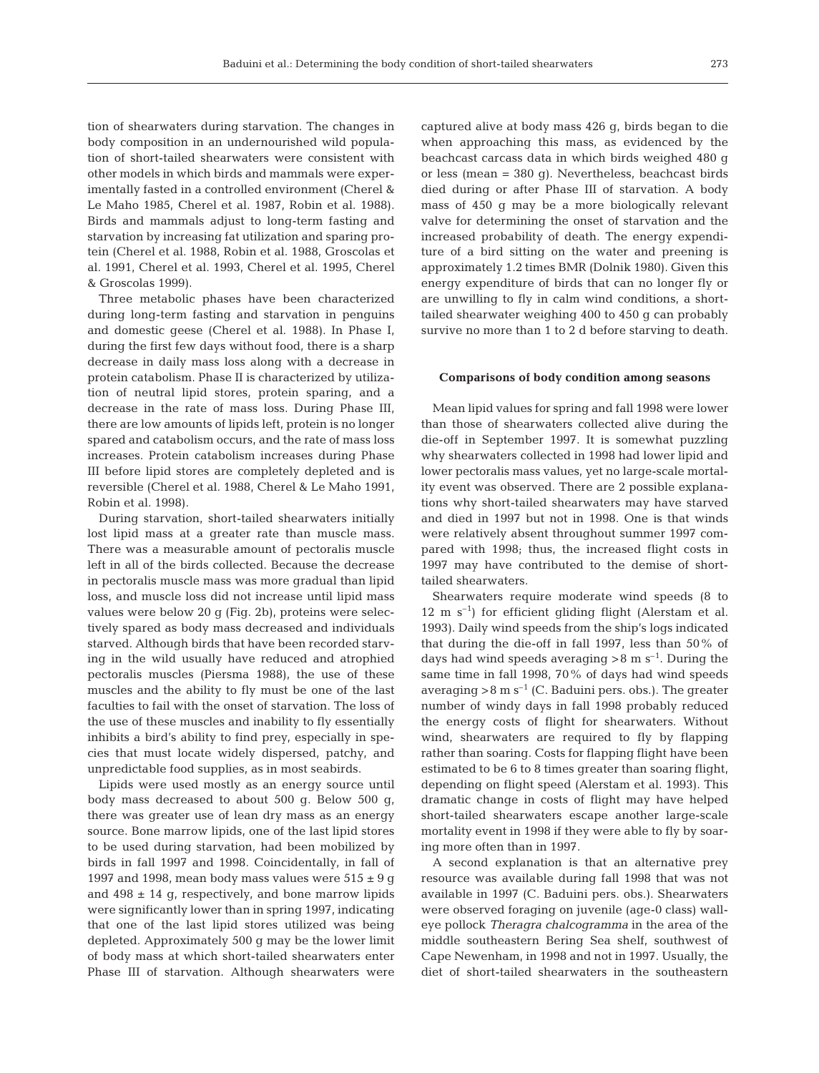tion of shearwaters during starvation. The changes in body composition in an undernourished wild population of short-tailed shearwaters were consistent with other models in which birds and mammals were experimentally fasted in a controlled environment (Cherel & Le Maho 1985, Cherel et al. 1987, Robin et al. 1988). Birds and mammals adjust to long-term fasting and starvation by increasing fat utilization and sparing protein (Cherel et al. 1988, Robin et al. 1988, Groscolas et al. 1991, Cherel et al. 1993, Cherel et al. 1995, Cherel & Groscolas 1999).

Three metabolic phases have been characterized during long-term fasting and starvation in penguins and domestic geese (Cherel et al. 1988). In Phase I, during the first few days without food, there is a sharp decrease in daily mass loss along with a decrease in protein catabolism. Phase II is characterized by utilization of neutral lipid stores, protein sparing, and a decrease in the rate of mass loss. During Phase III, there are low amounts of lipids left, protein is no longer spared and catabolism occurs, and the rate of mass loss increases. Protein catabolism increases during Phase III before lipid stores are completely depleted and is reversible (Cherel et al. 1988, Cherel & Le Maho 1991, Robin et al. 1998).

During starvation, short-tailed shearwaters initially lost lipid mass at a greater rate than muscle mass. There was a measurable amount of pectoralis muscle left in all of the birds collected. Because the decrease in pectoralis muscle mass was more gradual than lipid loss, and muscle loss did not increase until lipid mass values were below 20 g (Fig. 2b), proteins were selectively spared as body mass decreased and individuals starved. Although birds that have been recorded starving in the wild usually have reduced and atrophied pectoralis muscles (Piersma 1988), the use of these muscles and the ability to fly must be one of the last faculties to fail with the onset of starvation. The loss of the use of these muscles and inability to fly essentially inhibits a bird's ability to find prey, especially in species that must locate widely dispersed, patchy, and unpredictable food supplies, as in most seabirds.

Lipids were used mostly as an energy source until body mass decreased to about 500 g. Below 500 g, there was greater use of lean dry mass as an energy source. Bone marrow lipids, one of the last lipid stores to be used during starvation, had been mobilized by birds in fall 1997 and 1998. Coincidentally, in fall of 1997 and 1998, mean body mass values were  $515 \pm 9$  g and  $498 \pm 14$  g, respectively, and bone marrow lipids were significantly lower than in spring 1997, indicating that one of the last lipid stores utilized was being depleted. Approximately 500 g may be the lower limit of body mass at which short-tailed shearwaters enter Phase III of starvation. Although shearwaters were

captured alive at body mass 426 g, birds began to die when approaching this mass, as evidenced by the beachcast carcass data in which birds weighed 480 g or less (mean = 380 g). Nevertheless, beachcast birds died during or after Phase III of starvation. A body mass of 450 g may be a more biologically relevant valve for determining the onset of starvation and the increased probability of death. The energy expenditure of a bird sitting on the water and preening is approximately 1.2 times BMR (Dolnik 1980). Given this energy expenditure of birds that can no longer fly or are unwilling to fly in calm wind conditions, a shorttailed shearwater weighing 400 to 450 g can probably survive no more than 1 to 2 d before starving to death.

#### **Comparisons of body condition among seasons**

Mean lipid values for spring and fall 1998 were lower than those of shearwaters collected alive during the die-off in September 1997. It is somewhat puzzling why shearwaters collected in 1998 had lower lipid and lower pectoralis mass values, yet no large-scale mortality event was observed. There are 2 possible explanations why short-tailed shearwaters may have starved and died in 1997 but not in 1998. One is that winds were relatively absent throughout summer 1997 compared with 1998; thus, the increased flight costs in 1997 may have contributed to the demise of shorttailed shearwaters.

Shearwaters require moderate wind speeds (8 to  $12 \text{ m s}^{-1}$ ) for efficient gliding flight (Alerstam et al. 1993). Daily wind speeds from the ship's logs indicated that during the die-off in fall 1997, less than 50% of days had wind speeds averaging  $>8$  m s<sup>-1</sup>. During the same time in fall 1998, 70% of days had wind speeds averaging  $>8 \text{ m s}^{-1}$  (C. Baduini pers. obs.). The greater number of windy days in fall 1998 probably reduced the energy costs of flight for shearwaters. Without wind, shearwaters are required to fly by flapping rather than soaring. Costs for flapping flight have been estimated to be 6 to 8 times greater than soaring flight, depending on flight speed (Alerstam et al. 1993). This dramatic change in costs of flight may have helped short-tailed shearwaters escape another large-scale mortality event in 1998 if they were able to fly by soaring more often than in 1997.

A second explanation is that an alternative prey resource was available during fall 1998 that was not available in 1997 (C. Baduini pers. obs.). Shearwaters were observed foraging on juvenile (age-0 class) walleye pollock *Theragra chalcogramma* in the area of the middle southeastern Bering Sea shelf, southwest of Cape Newenham, in 1998 and not in 1997. Usually, the diet of short-tailed shearwaters in the southeastern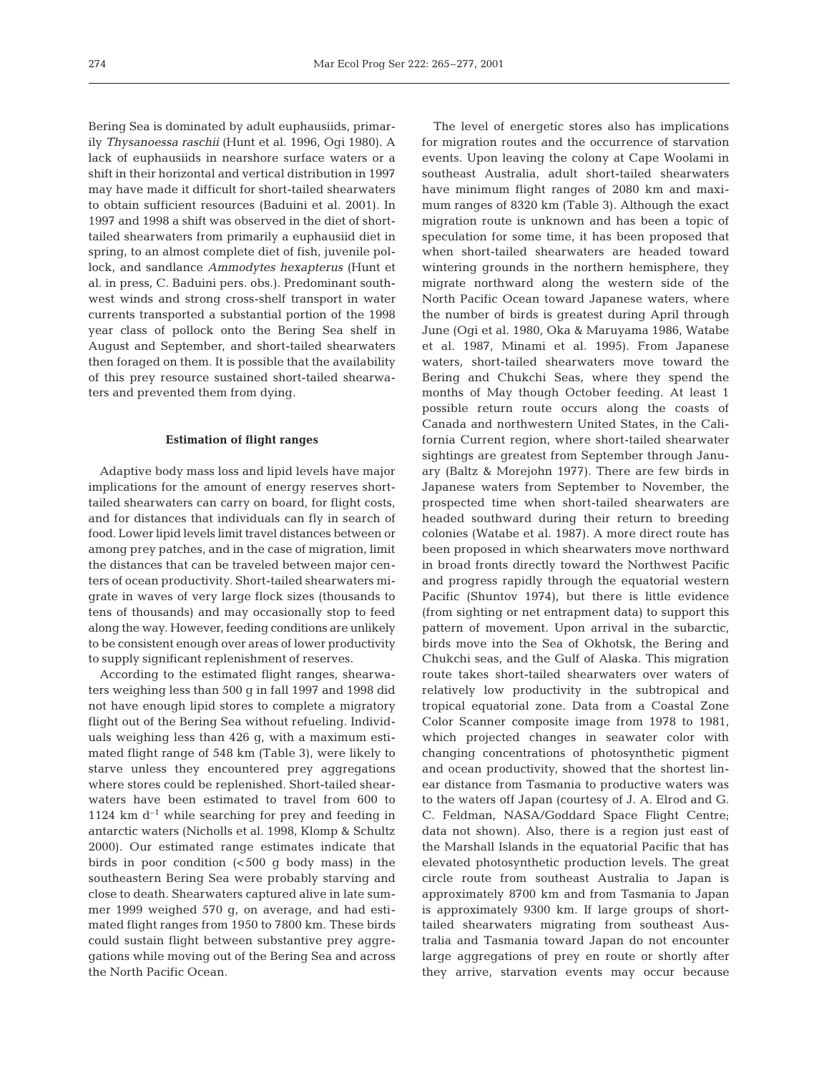Bering Sea is dominated by adult euphausiids, primarily *Thysanoessa raschii* (Hunt et al. 1996, Ogi 1980). A lack of euphausiids in nearshore surface waters or a shift in their horizontal and vertical distribution in 1997 may have made it difficult for short-tailed shearwaters to obtain sufficient resources (Baduini et al. 2001). In 1997 and 1998 a shift was observed in the diet of shorttailed shearwaters from primarily a euphausiid diet in spring, to an almost complete diet of fish, juvenile pollock, and sandlance *Ammodytes hexapterus* (Hunt et al. in press, C. Baduini pers. obs.). Predominant southwest winds and strong cross-shelf transport in water currents transported a substantial portion of the 1998 year class of pollock onto the Bering Sea shelf in August and September, and short-tailed shearwaters then foraged on them. It is possible that the availability of this prey resource sustained short-tailed shearwaters and prevented them from dying.

#### **Estimation of flight ranges**

Adaptive body mass loss and lipid levels have major implications for the amount of energy reserves shorttailed shearwaters can carry on board, for flight costs, and for distances that individuals can fly in search of food. Lower lipid levels limit travel distances between or among prey patches, and in the case of migration, limit the distances that can be traveled between major centers of ocean productivity. Short-tailed shearwaters migrate in waves of very large flock sizes (thousands to tens of thousands) and may occasionally stop to feed along the way. However, feeding conditions are unlikely to be consistent enough over areas of lower productivity to supply significant replenishment of reserves.

According to the estimated flight ranges, shearwaters weighing less than 500 g in fall 1997 and 1998 did not have enough lipid stores to complete a migratory flight out of the Bering Sea without refueling. Individuals weighing less than 426 g, with a maximum estimated flight range of 548 km (Table 3), were likely to starve unless they encountered prey aggregations where stores could be replenished. Short-tailed shearwaters have been estimated to travel from 600 to 1124 km  $d^{-1}$  while searching for prey and feeding in antarctic waters (Nicholls et al. 1998, Klomp & Schultz 2000). Our estimated range estimates indicate that birds in poor condition  $\left( < 500 \right)$  g body mass) in the southeastern Bering Sea were probably starving and close to death. Shearwaters captured alive in late summer 1999 weighed 570 g, on average, and had estimated flight ranges from 1950 to 7800 km. These birds could sustain flight between substantive prey aggregations while moving out of the Bering Sea and across the North Pacific Ocean.

The level of energetic stores also has implications for migration routes and the occurrence of starvation events. Upon leaving the colony at Cape Woolami in southeast Australia, adult short-tailed shearwaters have minimum flight ranges of 2080 km and maximum ranges of 8320 km (Table 3). Although the exact migration route is unknown and has been a topic of speculation for some time, it has been proposed that when short-tailed shearwaters are headed toward wintering grounds in the northern hemisphere, they migrate northward along the western side of the North Pacific Ocean toward Japanese waters, where the number of birds is greatest during April through June (Ogi et al. 1980, Oka & Maruyama 1986, Watabe et al. 1987, Minami et al. 1995). From Japanese waters, short-tailed shearwaters move toward the Bering and Chukchi Seas, where they spend the months of May though October feeding. At least 1 possible return route occurs along the coasts of Canada and northwestern United States, in the California Current region, where short-tailed shearwater sightings are greatest from September through January (Baltz & Morejohn 1977). There are few birds in Japanese waters from September to November, the prospected time when short-tailed shearwaters are headed southward during their return to breeding colonies (Watabe et al. 1987). A more direct route has been proposed in which shearwaters move northward in broad fronts directly toward the Northwest Pacific and progress rapidly through the equatorial western Pacific (Shuntov 1974), but there is little evidence (from sighting or net entrapment data) to support this pattern of movement. Upon arrival in the subarctic, birds move into the Sea of Okhotsk, the Bering and Chukchi seas, and the Gulf of Alaska. This migration route takes short-tailed shearwaters over waters of relatively low productivity in the subtropical and tropical equatorial zone. Data from a Coastal Zone Color Scanner composite image from 1978 to 1981, which projected changes in seawater color with changing concentrations of photosynthetic pigment and ocean productivity, showed that the shortest linear distance from Tasmania to productive waters was to the waters off Japan (courtesy of J. A. Elrod and G. C. Feldman, NASA/Goddard Space Flight Centre; data not shown). Also, there is a region just east of the Marshall Islands in the equatorial Pacific that has elevated photosynthetic production levels. The great circle route from southeast Australia to Japan is approximately 8700 km and from Tasmania to Japan is approximately 9300 km. If large groups of shorttailed shearwaters migrating from southeast Australia and Tasmania toward Japan do not encounter large aggregations of prey en route or shortly after they arrive, starvation events may occur because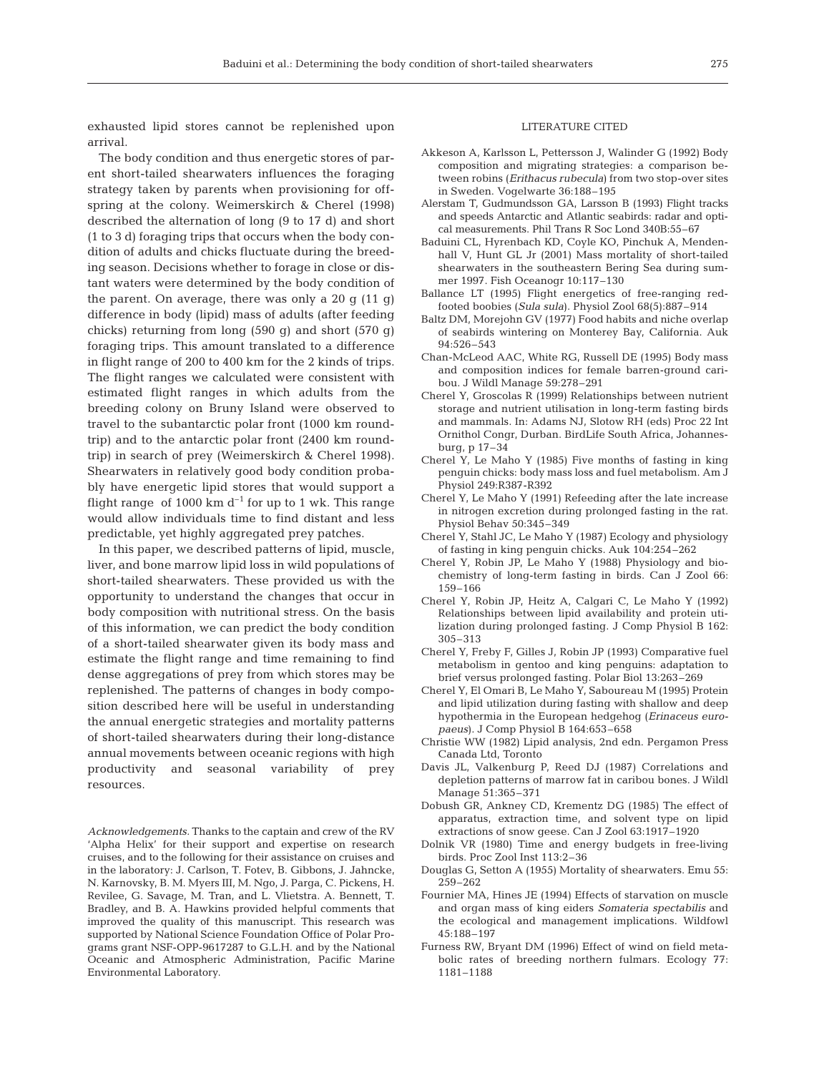exhausted lipid stores cannot be replenished upon arrival.

The body condition and thus energetic stores of parent short-tailed shearwaters influences the foraging strategy taken by parents when provisioning for offspring at the colony. Weimerskirch & Cherel (1998) described the alternation of long (9 to 17 d) and short (1 to 3 d) foraging trips that occurs when the body condition of adults and chicks fluctuate during the breeding season. Decisions whether to forage in close or distant waters were determined by the body condition of the parent. On average, there was only a 20 g (11 g) difference in body (lipid) mass of adults (after feeding chicks) returning from long (590 g) and short (570 g) foraging trips. This amount translated to a difference in flight range of 200 to 400 km for the 2 kinds of trips. The flight ranges we calculated were consistent with estimated flight ranges in which adults from the breeding colony on Bruny Island were observed to travel to the subantarctic polar front (1000 km roundtrip) and to the antarctic polar front (2400 km roundtrip) in search of prey (Weimerskirch & Cherel 1998). Shearwaters in relatively good body condition probably have energetic lipid stores that would support a flight range of 1000 km  $d^{-1}$  for up to 1 wk. This range would allow individuals time to find distant and less predictable, yet highly aggregated prey patches.

In this paper, we described patterns of lipid, muscle, liver, and bone marrow lipid loss in wild populations of short-tailed shearwaters. These provided us with the opportunity to understand the changes that occur in body composition with nutritional stress. On the basis of this information, we can predict the body condition of a short-tailed shearwater given its body mass and estimate the flight range and time remaining to find dense aggregations of prey from which stores may be replenished. The patterns of changes in body composition described here will be useful in understanding the annual energetic strategies and mortality patterns of short-tailed shearwaters during their long-distance annual movements between oceanic regions with high productivity and seasonal variability of prey resources.

*Acknowledgements.* Thanks to the captain and crew of the RV 'Alpha Helix' for their support and expertise on research cruises, and to the following for their assistance on cruises and in the laboratory: J. Carlson, T. Fotev, B. Gibbons, J. Jahncke, N. Karnovsky, B. M. Myers III, M. Ngo, J. Parga, C. Pickens, H. Revilee, G. Savage, M. Tran, and L. Vlietstra. A. Bennett, T. Bradley, and B. A. Hawkins provided helpful comments that improved the quality of this manuscript. This research was supported by National Science Foundation Office of Polar Programs grant NSF-OPP-9617287 to G.L.H. and by the National Oceanic and Atmospheric Administration, Pacific Marine Environmental Laboratory.

#### LITERATURE CITED

- Akkeson A, Karlsson L, Pettersson J, Walinder G (1992) Body composition and migrating strategies: a comparison between robins (*Erithacus rubecula*) from two stop-over sites in Sweden. Vogelwarte 36:188–195
- Alerstam T, Gudmundsson GA, Larsson B (1993) Flight tracks and speeds Antarctic and Atlantic seabirds: radar and optical measurements. Phil Trans R Soc Lond 340B:55–67
- Baduini CL, Hyrenbach KD, Coyle KO, Pinchuk A, Mendenhall V, Hunt GL Jr (2001) Mass mortality of short-tailed shearwaters in the southeastern Bering Sea during summer 1997. Fish Oceanogr 10:117–130
- Ballance LT (1995) Flight energetics of free-ranging redfooted boobies (*Sula sula*). Physiol Zool 68(5):887–914
- Baltz DM, Morejohn GV (1977) Food habits and niche overlap of seabirds wintering on Monterey Bay, California. Auk 94:526–543
- Chan-McLeod AAC, White RG, Russell DE (1995) Body mass and composition indices for female barren-ground caribou. J Wildl Manage 59:278–291
- Cherel Y, Groscolas R (1999) Relationships between nutrient storage and nutrient utilisation in long-term fasting birds and mammals. In: Adams NJ, Slotow RH (eds) Proc 22 Int Ornithol Congr, Durban. BirdLife South Africa, Johannesburg, p 17–34
- Cherel Y, Le Maho Y (1985) Five months of fasting in king penguin chicks: body mass loss and fuel metabolism. Am J Physiol 249:R387-R392
- Cherel Y, Le Maho Y (1991) Refeeding after the late increase in nitrogen excretion during prolonged fasting in the rat. Physiol Behav 50:345–349
- Cherel Y, Stahl JC, Le Maho Y (1987) Ecology and physiology of fasting in king penguin chicks. Auk 104:254–262
- Cherel Y, Robin JP, Le Maho Y (1988) Physiology and biochemistry of long-term fasting in birds. Can J Zool 66: 159–166
- Cherel Y, Robin JP, Heitz A, Calgari C, Le Maho Y (1992) Relationships between lipid availability and protein utilization during prolonged fasting. J Comp Physiol B 162: 305–313
- Cherel Y, Freby F, Gilles J, Robin JP (1993) Comparative fuel metabolism in gentoo and king penguins: adaptation to brief versus prolonged fasting. Polar Biol 13:263–269
- Cherel Y, El Omari B, Le Maho Y, Saboureau M (1995) Protein and lipid utilization during fasting with shallow and deep hypothermia in the European hedgehog (*Erinaceus europaeus*). J Comp Physiol B 164:653–658
- Christie WW (1982) Lipid analysis, 2nd edn. Pergamon Press Canada Ltd, Toronto
- Davis JL, Valkenburg P, Reed DJ (1987) Correlations and depletion patterns of marrow fat in caribou bones. J Wildl Manage 51:365–371
- Dobush GR, Ankney CD, Krementz DG (1985) The effect of apparatus, extraction time, and solvent type on lipid extractions of snow geese. Can J Zool 63:1917–1920
- Dolnik VR (1980) Time and energy budgets in free-living birds. Proc Zool Inst 113:2–36
- Douglas G, Setton A (1955) Mortality of shearwaters. Emu 55: 259–262
- Fournier MA, Hines JE (1994) Effects of starvation on muscle and organ mass of king eiders *Somateria spectabilis* and the ecological and management implications. Wildfowl 45:188–197
- Furness RW, Bryant DM (1996) Effect of wind on field metabolic rates of breeding northern fulmars. Ecology 77: 1181–1188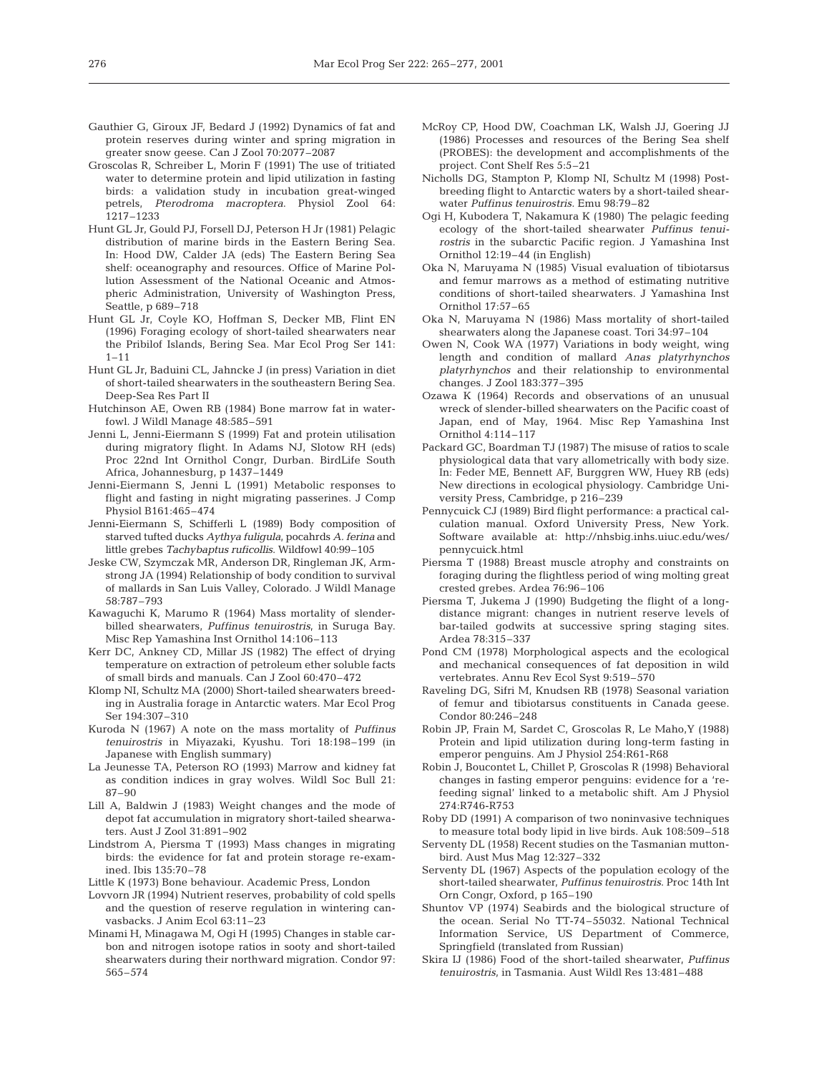- Gauthier G, Giroux JF, Bedard J (1992) Dynamics of fat and protein reserves during winter and spring migration in greater snow geese. Can J Zool 70:2077–2087
- Groscolas R, Schreiber L, Morin F (1991) The use of tritiated water to determine protein and lipid utilization in fasting birds: a validation study in incubation great-winged petrels, *Pterodroma macroptera*. Physiol Zool 64: 1217–1233
- Hunt GL Jr, Gould PJ, Forsell DJ, Peterson H Jr (1981) Pelagic distribution of marine birds in the Eastern Bering Sea. In: Hood DW, Calder JA (eds) The Eastern Bering Sea shelf: oceanography and resources. Office of Marine Pollution Assessment of the National Oceanic and Atmospheric Administration, University of Washington Press, Seattle, p 689–718
- Hunt GL Jr, Coyle KO, Hoffman S, Decker MB, Flint EN (1996) Foraging ecology of short-tailed shearwaters near the Pribilof Islands, Bering Sea. Mar Ecol Prog Ser 141:  $1 - 11$
- Hunt GL Jr, Baduini CL, Jahncke J (in press) Variation in diet of short-tailed shearwaters in the southeastern Bering Sea. Deep-Sea Res Part II
- Hutchinson AE, Owen RB (1984) Bone marrow fat in waterfowl. J Wildl Manage 48:585–591
- Jenni L, Jenni-Eiermann S (1999) Fat and protein utilisation during migratory flight. In Adams NJ, Slotow RH (eds) Proc 22nd Int Ornithol Congr, Durban. BirdLife South Africa, Johannesburg, p 1437–1449
- Jenni-Eiermann S, Jenni L (1991) Metabolic responses to flight and fasting in night migrating passerines. J Comp Physiol B161:465–474
- Jenni-Eiermann S, Schifferli L (1989) Body composition of starved tufted ducks *Aythya fuligula*, pocahrds *A. ferina* and little grebes *Tachybaptus ruficollis*. Wildfowl 40:99–105
- Jeske CW, Szymczak MR, Anderson DR, Ringleman JK, Armstrong JA (1994) Relationship of body condition to survival of mallards in San Luis Valley, Colorado. J Wildl Manage 58:787–793
- Kawaguchi K, Marumo R (1964) Mass mortality of slenderbilled shearwaters, *Puffinus tenuirostris*, in Suruga Bay. Misc Rep Yamashina Inst Ornithol 14:106–113
- Kerr DC, Ankney CD, Millar JS (1982) The effect of drying temperature on extraction of petroleum ether soluble facts of small birds and manuals. Can J Zool 60:470–472
- Klomp NI, Schultz MA (2000) Short-tailed shearwaters breeding in Australia forage in Antarctic waters. Mar Ecol Prog Ser 194:307–310
- Kuroda N (1967) A note on the mass mortality of *Puffinus tenuirostris* in Miyazaki, Kyushu. Tori 18:198–199 (in Japanese with English summary)
- La Jeunesse TA, Peterson RO (1993) Marrow and kidney fat as condition indices in gray wolves. Wildl Soc Bull 21: 87–90
- Lill A, Baldwin J (1983) Weight changes and the mode of depot fat accumulation in migratory short-tailed shearwaters. Aust J Zool 31:891–902
- Lindstrom A, Piersma T (1993) Mass changes in migrating birds: the evidence for fat and protein storage re-examined. Ibis 135:70–78
- Little K (1973) Bone behaviour. Academic Press, London
- Lovvorn JR (1994) Nutrient reserves, probability of cold spells and the question of reserve regulation in wintering canvasbacks. J Anim Ecol 63:11–23
- Minami H, Minagawa M, Ogi H (1995) Changes in stable carbon and nitrogen isotope ratios in sooty and short-tailed shearwaters during their northward migration. Condor 97: 565–574
- McRoy CP, Hood DW, Coachman LK, Walsh JJ, Goering JJ (1986) Processes and resources of the Bering Sea shelf (PROBES): the development and accomplishments of the project. Cont Shelf Res 5:5–21
- Nicholls DG, Stampton P, Klomp NI, Schultz M (1998) Postbreeding flight to Antarctic waters by a short-tailed shearwater *Puffinus tenuirostris*. Emu 98:79–82
- Ogi H, Kubodera T, Nakamura K (1980) The pelagic feeding ecology of the short-tailed shearwater *Puffinus tenuirostris* in the subarctic Pacific region. J Yamashina Inst Ornithol 12:19–44 (in English)
- Oka N, Maruyama N (1985) Visual evaluation of tibiotarsus and femur marrows as a method of estimating nutritive conditions of short-tailed shearwaters. J Yamashina Inst Ornithol 17:57–65
- Oka N, Maruyama N (1986) Mass mortality of short-tailed shearwaters along the Japanese coast. Tori 34:97–104
- Owen N, Cook WA (1977) Variations in body weight, wing length and condition of mallard *Anas platyrhynchos platyrhynchos* and their relationship to environmental changes. J Zool 183:377–395
- Ozawa K (1964) Records and observations of an unusual wreck of slender-billed shearwaters on the Pacific coast of Japan, end of May, 1964. Misc Rep Yamashina Inst Ornithol 4:114–117
- Packard GC, Boardman TJ (1987) The misuse of ratios to scale physiological data that vary allometrically with body size. In: Feder ME, Bennett AF, Burggren WW, Huey RB (eds) New directions in ecological physiology. Cambridge University Press, Cambridge, p 216–239
- Pennycuick CJ (1989) Bird flight performance: a practical calculation manual. Oxford University Press, New York. Software available at: http://nhsbig.inhs.uiuc.edu/wes/ pennycuick.html
- Piersma T (1988) Breast muscle atrophy and constraints on foraging during the flightless period of wing molting great crested grebes. Ardea 76:96–106
- Piersma T, Jukema J (1990) Budgeting the flight of a longdistance migrant: changes in nutrient reserve levels of bar-tailed godwits at successive spring staging sites. Ardea 78:315–337
- Pond CM (1978) Morphological aspects and the ecological and mechanical consequences of fat deposition in wild vertebrates. Annu Rev Ecol Syst 9:519–570
- Raveling DG, Sifri M, Knudsen RB (1978) Seasonal variation of femur and tibiotarsus constituents in Canada geese. Condor 80:246–248
- Robin JP, Frain M, Sardet C, Groscolas R, Le Maho,Y (1988) Protein and lipid utilization during long-term fasting in emperor penguins. Am J Physiol 254:R61-R68
- Robin J, Boucontet L, Chillet P, Groscolas R (1998) Behavioral changes in fasting emperor penguins: evidence for a 'refeeding signal' linked to a metabolic shift. Am J Physiol 274:R746-R753
- Roby DD (1991) A comparison of two noninvasive techniques to measure total body lipid in live birds. Auk 108:509–518
- Serventy DL (1958) Recent studies on the Tasmanian muttonbird. Aust Mus Mag 12:327–332
- Serventy DL (1967) Aspects of the population ecology of the short-tailed shearwater, *Puffinus tenuirostris*. Proc 14th Int Orn Congr, Oxford, p 165–190
- Shuntov VP (1974) Seabirds and the biological structure of the ocean. Serial No TT-74–55032. National Technical Information Service, US Department of Commerce, Springfield (translated from Russian)
- Skira IJ (1986) Food of the short-tailed shearwater, *Puffinus tenuirostris*, in Tasmania. Aust Wildl Res 13:481–488